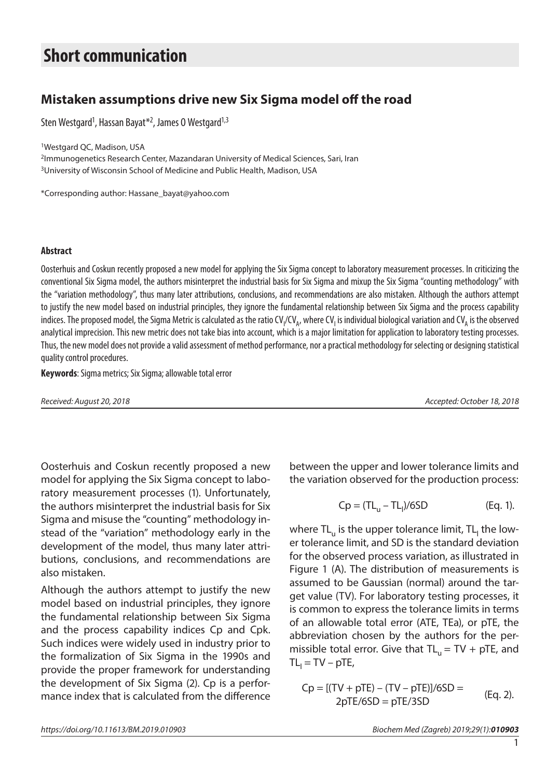# **Short communication**

## **Mistaken assumptions drive new Six Sigma model off the road**

Sten Westgard<sup>1</sup>, Hassan Bayat<sup>\*2</sup>, James 0 Westgard<sup>1,3</sup>

1Westgard QC, Madison, USA

2Immunogenetics Research Center, Mazandaran University of Medical Sciences, Sari, Iran <sup>3</sup>University of Wisconsin School of Medicine and Public Health, Madison, USA

\*Corresponding author: Hassane\_bayat@yahoo.com

#### **Abstract**

Oosterhuis and Coskun recently proposed a new model for applying the Six Sigma concept to laboratory measurement processes. In criticizing the conventional Six Sigma model, the authors misinterpret the industrial basis for Six Sigma and mixup the Six Sigma "counting methodology" with the "variation methodology", thus many later attributions, conclusions, and recommendations are also mistaken. Although the authors attempt to justify the new model based on industrial principles, they ignore the fundamental relationship between Six Sigma and the process capability indices. The proposed model, the Sigma Metric is calculated as the ratio CV<sub>I</sub>/CV<sub>A</sub>, where CV<sub>I</sub> is individual biological variation and CV<sub>A</sub> is the observed analytical imprecision. This new metric does not take bias into account, which is a major limitation for application to laboratory testing processes. Thus, the new model does not provide a valid assessment of method performance, nor a practical methodology for selecting or designing statistical quality control procedures.

**Keywords**: Sigma metrics; Six Sigma; allowable total error

*Received: August 20, 2018 Accepted: October 18, 2018*

Oosterhuis and Coskun recently proposed a new model for applying the Six Sigma concept to laboratory measurement processes (1). Unfortunately, the authors misinterpret the industrial basis for Six Sigma and misuse the "counting" methodology instead of the "variation" methodology early in the development of the model, thus many later attributions, conclusions, and recommendations are also mistaken.

Although the authors attempt to justify the new model based on industrial principles, they ignore the fundamental relationship between Six Sigma and the process capability indices Cp and Cpk. Such indices were widely used in industry prior to the formalization of Six Sigma in the 1990s and provide the proper framework for understanding the development of Six Sigma (2). Cp is a performance index that is calculated from the difference

between the upper and lower tolerance limits and the variation observed for the production process:

$$
Cp = (TL_{u} - TL_{l})/6SD
$$
 (Eq. 1).

where TL $_{\sf u}$  is the upper tolerance limit, TL $_{\sf l}$  the lower tolerance limit, and SD is the standard deviation for the observed process variation, as illustrated in Figure 1 (A). The distribution of measurements is assumed to be Gaussian (normal) around the target value (TV). For laboratory testing processes, it is common to express the tolerance limits in terms of an allowable total error (ATE, TEa), or pTE, the abbreviation chosen by the authors for the permissible total error. Give that  $TL_u = TV + pTE$ , and  $TL<sub>l</sub> = TV - pTE$ ,

$$
Cp = [(TV + pTE) - (TV - pTE)]/6SD =
$$
  
2pTE/6SD = pTE/3SD (Eq. 2).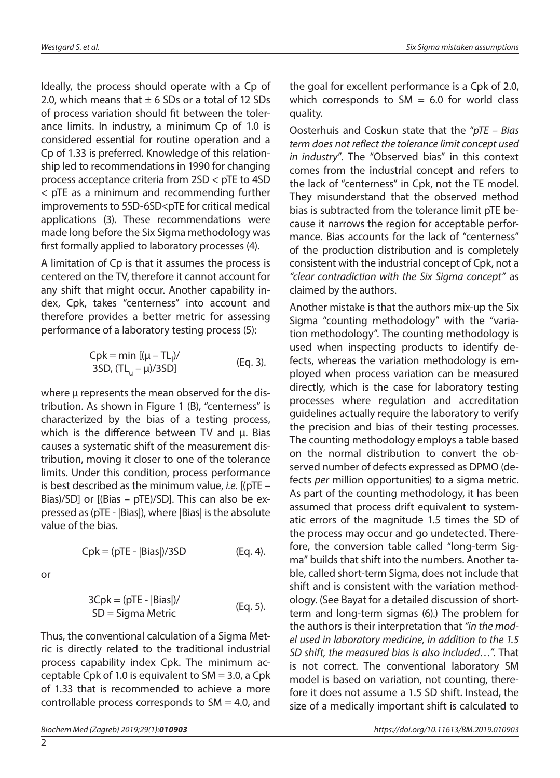Ideally, the process should operate with a Cp of 2.0, which means that  $\pm$  6 SDs or a total of 12 SDs of process variation should fit between the tolerance limits. In industry, a minimum Cp of 1.0 is considered essential for routine operation and a Cp of 1.33 is preferred. Knowledge of this relationship led to recommendations in 1990 for changing process acceptance criteria from 2SD < pTE to 4SD < pTE as a minimum and recommending further improvements to 5SD-6SD<pTE for critical medical applications (3). These recommendations were made long before the Six Sigma methodology was first formally applied to laboratory processes (4).

A limitation of Cp is that it assumes the process is centered on the TV, therefore it cannot account for any shift that might occur. Another capability index, Cpk, takes "centerness" into account and therefore provides a better metric for assessing performance of a laboratory testing process (5):

$$
Cpk = min [(\mu - TL1)/
$$
  
3SD, (TL<sub>u</sub> - \mu)/3SD] (Eq. 3).

where μ represents the mean observed for the distribution. As shown in Figure 1 (B), "centerness" is characterized by the bias of a testing process, which is the difference between TV and μ. Bias causes a systematic shift of the measurement distribution, moving it closer to one of the tolerance limits. Under this condition, process performance is best described as the minimum value, *i.e.* [(pTE – Bias)/SD] or [(Bias – pTE)/SD]. This can also be expressed as (pTE - |Bias|), where |Bias| is the absolute value of the bias.

$$
Cpk = (pTE - |Bias|)/3SD
$$
 (Eq. 4).

or

$$
3Cpk = (pTE - |Bias|) / \qquad \text{(Eq. 5).}
$$
  
SD = Sigma Metric

Thus, the conventional calculation of a Sigma Metric is directly related to the traditional industrial process capability index Cpk. The minimum acceptable Cpk of 1.0 is equivalent to  $SM = 3.0$ , a Cpk of 1.33 that is recommended to achieve a more controllable process corresponds to  $SM = 4.0$ , and

the goal for excellent performance is a Cpk of 2.0, which corresponds to  $SM = 6.0$  for world class quality.

Oosterhuis and Coskun state that the "*pTE – Bias term does not reflect the tolerance limit concept used in industry*". The "Observed bias" in this context comes from the industrial concept and refers to the lack of "centerness" in Cpk, not the TE model. They misunderstand that the observed method bias is subtracted from the tolerance limit pTE because it narrows the region for acceptable performance. Bias accounts for the lack of "centerness" of the production distribution and is completely consistent with the industrial concept of Cpk, not a *"clear contradiction with the Six Sigma concept"* as claimed by the authors.

Another mistake is that the authors mix-up the Six Sigma "counting methodology" with the "variation methodology". The counting methodology is used when inspecting products to identify defects, whereas the variation methodology is employed when process variation can be measured directly, which is the case for laboratory testing processes where regulation and accreditation guidelines actually require the laboratory to verify the precision and bias of their testing processes. The counting methodology employs a table based on the normal distribution to convert the observed number of defects expressed as DPMO (defects *per* million opportunities) to a sigma metric. As part of the counting methodology, it has been assumed that process drift equivalent to systematic errors of the magnitude 1.5 times the SD of the process may occur and go undetected. Therefore, the conversion table called "long-term Sigma" builds that shift into the numbers. Another table, called short-term Sigma, does not include that shift and is consistent with the variation methodology. (See Bayat for a detailed discussion of shortterm and long-term sigmas (6).) The problem for the authors is their interpretation that *"in the model used in laboratory medicine, in addition to the 1.5 SD shift, the measured bias is also included…".* That is not correct. The conventional laboratory SM model is based on variation, not counting, therefore it does not assume a 1.5 SD shift. Instead, the size of a medically important shift is calculated to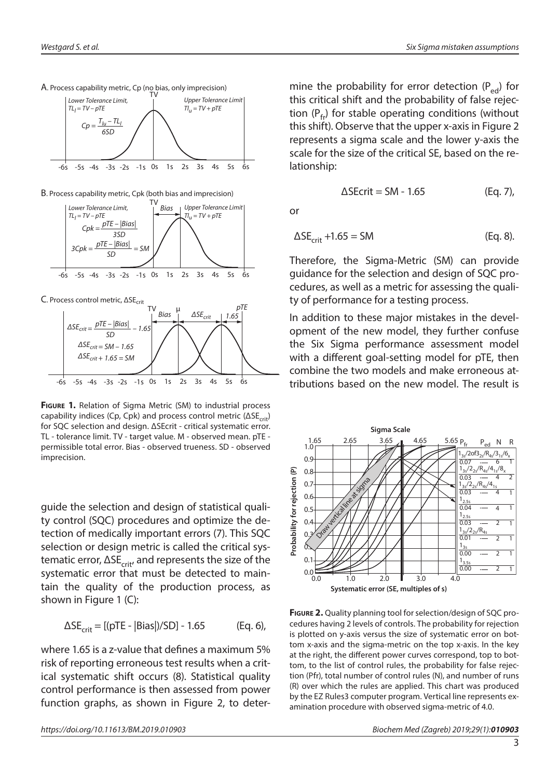

B. Process capability metric, Cpk (both bias and imprecision)





**Figure 1.** Relation of Sigma Metric (SM) to industrial process capability indices (Cp, Cpk) and process control metric ( $\Delta SE_{crit}$ ) for SQC selection and design. ΔSEcrit - critical systematic error. TL - tolerance limit. TV - target value. Μ - observed mean. pTE permissible total error. Bias - observed trueness. SD - observed imprecision.

guide the selection and design of statistical quality control (SQC) procedures and optimize the detection of medically important errors (7). This SQC selection or design metric is called the critical systematic error,  $\Delta SE_{crit}$ , and represents the size of the systematic error that must be detected to maintain the quality of the production process, as shown in Figure 1 (C):

$$
\Delta SE_{crit} = [(pTE - |Bias|)/SD] - 1.65
$$
 (Eq. 6),

where 1.65 is a z-value that defines a maximum 5% risk of reporting erroneous test results when a critical systematic shift occurs (8). Statistical quality control performance is then assessed from power function graphs, as shown in Figure 2, to determine the probability for error detection  $(P_{\text{ed}})$  for this critical shift and the probability of false rejection  $(P_{\epsilon})$  for stable operating conditions (without this shift). Observe that the upper x-axis in Figure 2 represents a sigma scale and the lower y-axis the scale for the size of the critical SE, based on the relationship:

$$
\Delta \text{SEcrit} = \text{SM} - 1.65 \tag{Eq. 7}
$$

or

$$
\Delta SE_{\text{crit}} + 1.65 = SM
$$
 (Eq. 8).

Therefore, the Sigma-Metric (SM) can provide guidance for the selection and design of SQC procedures, as well as a metric for assessing the quality of performance for a testing process.

In addition to these major mistakes in the development of the new model, they further confuse the Six Sigma performance assessment model with a different goal-setting model for pTE, then combine the two models and make erroneous attributions based on the new model. The result is



**Figure 2.** Quality planning tool for selection/design of SQC procedures having 2 levels of controls. The probability for rejection is plotted on y-axis versus the size of systematic error on bottom x-axis and the sigma-metric on the top x-axis. In the key at the right, the different power curves correspond, top to bottom, to the list of control rules, the probability for false rejection (Pfr), total number of control rules (N), and number of runs (R) over which the rules are applied. This chart was produced by the EZ Rules3 computer program. Vertical line represents examination procedure with observed sigma-metric of 4.0.